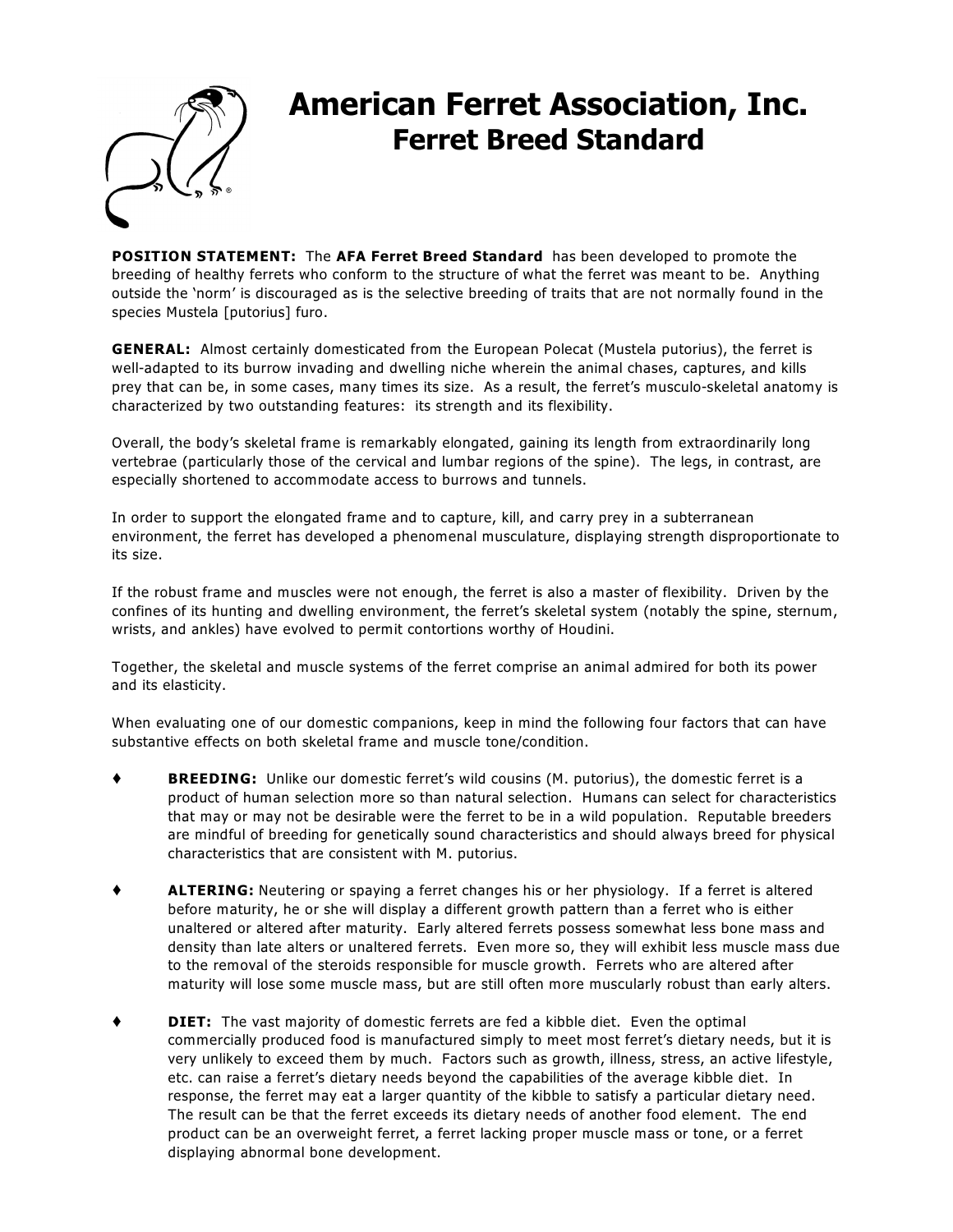

# **American Ferret Association, Inc. Ferret Breed Standard**

**POSITION STATEMENT:** The **AFA Ferret Breed Standard** has been developed to promote the breeding of healthy ferrets who conform to the structure of what the ferret was meant to be. Anything outside the 'norm' is discouraged as is the selective breeding of traits that are not normally found in the species *Mustela [putorius] furo*.

**GENERAL:** Almost certainly domesticated from the European Polecat (*Mustela putorius*), the ferret is well-adapted to its burrow invading and dwelling niche wherein the animal chases, captures, and kills prey that can be, in some cases, many times its size. As a result, the ferret's musculo-skeletal anatomy is characterized by two outstanding features: its strength and its flexibility.

Overall, the body's skeletal frame is remarkably elongated, gaining its length from extraordinarily long vertebrae (particularly those of the cervical and lumbar regions of the spine). The legs, in contrast, are especially shortened to accommodate access to burrows and tunnels.

In order to support the elongated frame and to capture, kill, and carry prey in a subterranean environment, the ferret has developed a phenomenal musculature, displaying strength disproportionate to its size.

If the robust frame and muscles were not enough, the ferret is also a master of flexibility. Driven by the confines of its hunting and dwelling environment, the ferret's skeletal system (notably the spine, sternum, wrists, and ankles) have evolved to permit contortions worthy of Houdini.

Together, the skeletal and muscle systems of the ferret comprise an animal admired for both its power and its elasticity.

When evaluating one of our domestic companions, keep in mind the following four factors that can have substantive effects on both skeletal frame and muscle tone/condition.

- **BREEDING:** Unlike our domestic ferret's wild cousins (*M. putorius*), the domestic ferret is a product of human selection more so than natural selection. Humans can select for characteristics that may or may not be desirable were the ferret to be in a wild population. Reputable breeders are mindful of breeding for genetically sound characteristics and should always breed for physical characteristics that are consistent with M. putorius.
- **ALTERING:** Neutering or spaying a ferret changes his or her physiology. If a ferret is altered before maturity, he or she will display a different growth pattern than a ferret who is either unaltered or altered after maturity. Early altered ferrets possess somewhat less bone mass and density than late alters or unaltered ferrets. Even more so, they will exhibit less muscle mass due to the removal of the steroids responsible for muscle growth. Ferrets who are altered after maturity will lose some muscle mass, but are still often more muscularly robust than early alters.
- **DIET:** The vast majority of domestic ferrets are fed a kibble diet. Even the optimal commercially produced food is manufactured simply to meet most ferret's dietary needs, but it is very unlikely to exceed them by much. Factors such as growth, illness, stress, an active lifestyle, etc. can raise a ferret's dietary needs beyond the capabilities of the average kibble diet. In response, the ferret may eat a larger quantity of the kibble to satisfy a particular dietary need. The result can be that the ferret exceeds its dietary needs of another food element. The end product can be an overweight ferret, a ferret lacking proper muscle mass or tone, or a ferret displaying abnormal bone development.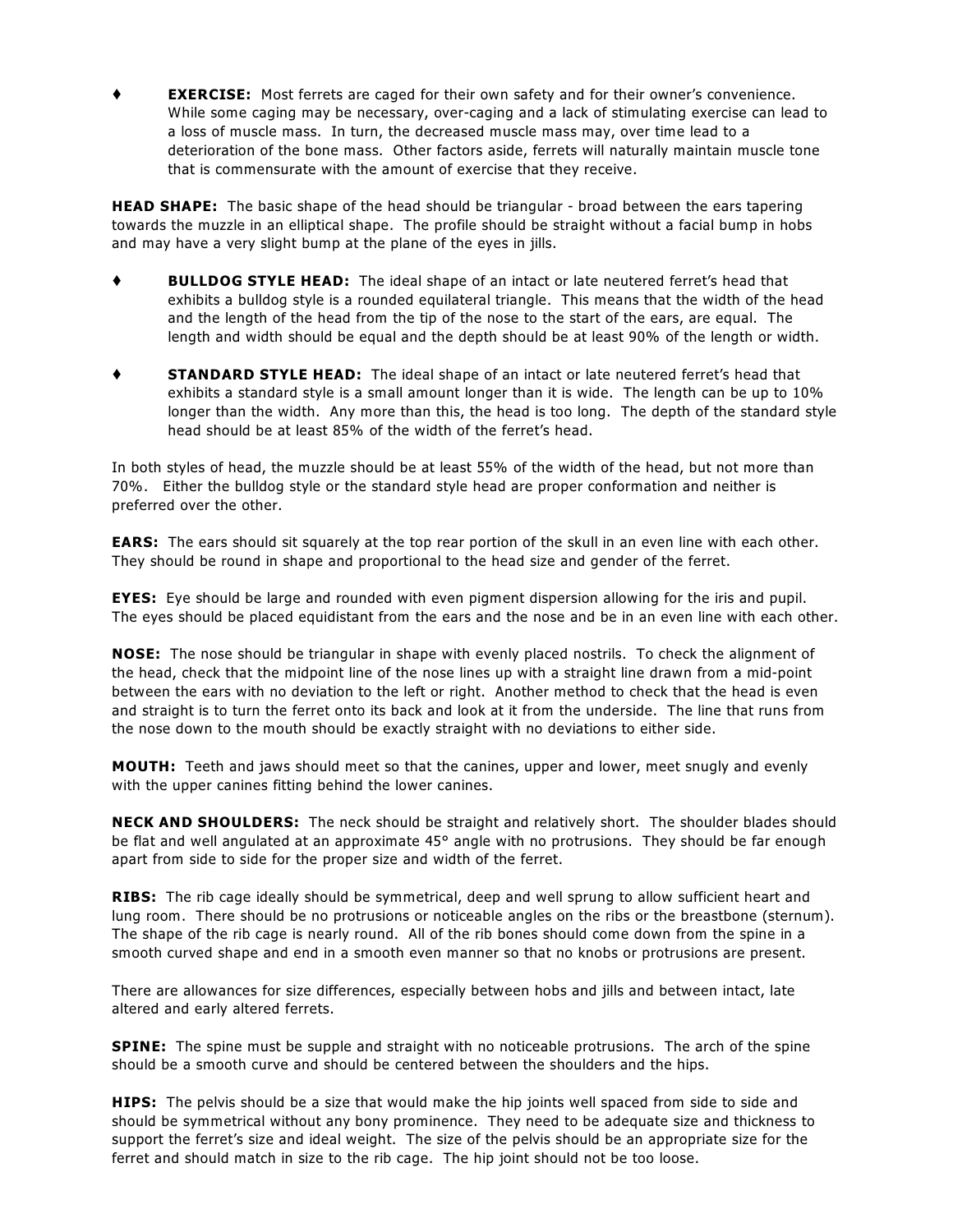**EXERCISE:** Most ferrets are caged for their own safety and for their owner's convenience. While some caging may be necessary, over-caging and a lack of stimulating exercise can lead to a loss of muscle mass. In turn, the decreased muscle mass may, over time lead to a deterioration of the bone mass. Other factors aside, ferrets will naturally maintain muscle tone that is commensurate with the amount of exercise that they receive.

**HEAD SHAPE:** The basic shape of the head should be triangular - broad between the ears tapering towards the muzzle in an elliptical shape. The profile should be straight without a facial bump in hobs and may have a very slight bump at the plane of the eyes in jills.

- **BULLDOG STYLE HEAD:** The ideal shape of an intact or late neutered ferret's head that exhibits a bulldog style is a rounded equilateral triangle. This means that the width of the head and the length of the head from the tip of the nose to the start of the ears, are equal. The length and width should be equal and the depth should be at least 90% of the length or width.
- **STANDARD STYLE HEAD:** The ideal shape of an intact or late neutered ferret's head that exhibits a standard style is a small amount longer than it is wide. The length can be up to 10% longer than the width. Any more than this, the head is too long. The depth of the standard style head should be at least 85% of the width of the ferret's head.

In both styles of head, the muzzle should be at least 55% of the width of the head, but not more than 70%. Either the bulldog style or the standard style head are proper conformation and neither is preferred over the other.

**EARS:** The ears should sit squarely at the top rear portion of the skull in an even line with each other. They should be round in shape and proportional to the head size and gender of the ferret.

**EYES:** Eye should be large and rounded with even pigment dispersion allowing for the iris and pupil. The eyes should be placed equidistant from the ears and the nose and be in an even line with each other.

**NOSE:** The nose should be triangular in shape with evenly placed nostrils. To check the alignment of the head, check that the midpoint line of the nose lines up with a straight line drawn from a mid-point between the ears with no deviation to the left or right. Another method to check that the head is even and straight is to turn the ferret onto its back and look at it from the underside. The line that runs from the nose down to the mouth should be exactly straight with no deviations to either side.

**MOUTH:** Teeth and jaws should meet so that the canines, upper and lower, meet snugly and evenly with the upper canines fitting behind the lower canines.

**NECK AND SHOULDERS:** The neck should be straight and relatively short. The shoulder blades should be flat and well angulated at an approximate 45° angle with no protrusions. They should be far enough apart from side to side for the proper size and width of the ferret.

**RIBS:** The rib cage ideally should be symmetrical, deep and well sprung to allow sufficient heart and lung room. There should be no protrusions or noticeable angles on the ribs or the breastbone (sternum). The shape of the rib cage is nearly round. All of the rib bones should come down from the spine in a smooth curved shape and end in a smooth even manner so that no knobs or protrusions are present.

There are allowances for size differences, especially between hobs and jills and between intact, late altered and early altered ferrets.

**SPINE:** The spine must be supple and straight with no noticeable protrusions. The arch of the spine should be a smooth curve and should be centered between the shoulders and the hips.

**HIPS:** The pelvis should be a size that would make the hip joints well spaced from side to side and should be symmetrical without any bony prominence. They need to be adequate size and thickness to support the ferret's size and ideal weight. The size of the pelvis should be an appropriate size for the ferret and should match in size to the rib cage. The hip joint should not be too loose.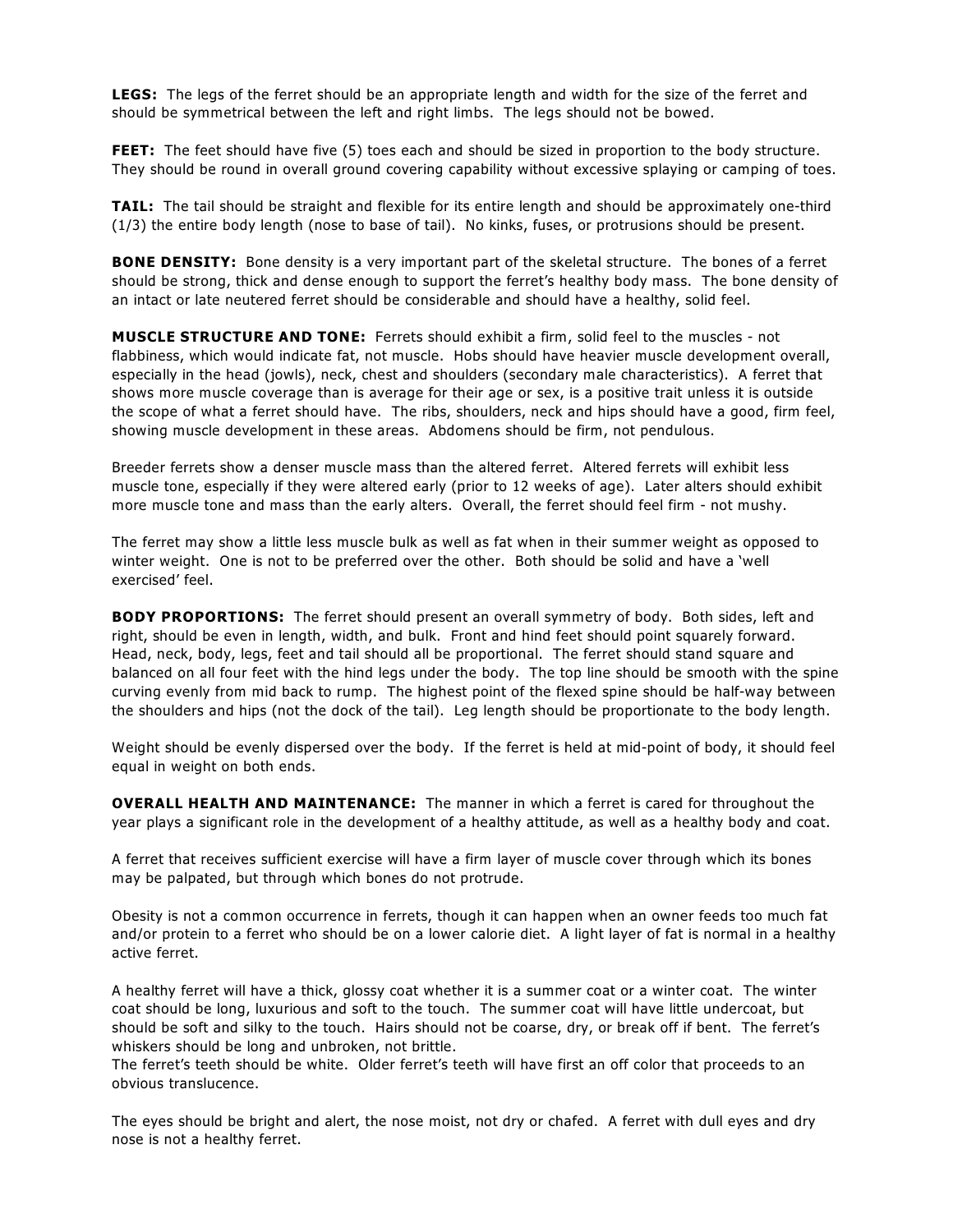**LEGS:** The legs of the ferret should be an appropriate length and width for the size of the ferret and should be symmetrical between the left and right limbs. The legs should not be bowed.

**FEET:** The feet should have five (5) toes each and should be sized in proportion to the body structure. They should be round in overall ground covering capability without excessive splaying or camping of toes.

**TAIL:** The tail should be straight and flexible for its entire length and should be approximately one-third (1/3) the entire body length (nose to base of tail). No kinks, fuses, or protrusions should be present.

**BONE DENSITY:** Bone density is a very important part of the skeletal structure. The bones of a ferret should be strong, thick and dense enough to support the ferret's healthy body mass. The bone density of an intact or late neutered ferret should be considerable and should have a healthy, solid feel.

**MUSCLE STRUCTURE AND TONE:** Ferrets should exhibit a firm, solid feel to the muscles - not flabbiness, which would indicate fat, not muscle. Hobs should have heavier muscle development overall, especially in the head (jowls), neck, chest and shoulders (secondary male characteristics). A ferret that shows more muscle coverage than is average for their age or sex, is a positive trait unless it is outside the scope of what a ferret should have. The ribs, shoulders, neck and hips should have a good, firm feel, showing muscle development in these areas. Abdomens should be firm, not pendulous.

Breeder ferrets show a denser muscle mass than the altered ferret. Altered ferrets will exhibit less muscle tone, especially if they were altered early (prior to 12 weeks of age). Later alters should exhibit more muscle tone and mass than the early alters. Overall, the ferret should feel firm - not mushy.

The ferret may show a little less muscle bulk as well as fat when in their summer weight as opposed to winter weight. One is not to be preferred over the other. Both should be solid and have a 'well exercised' feel.

**BODY PROPORTIONS:** The ferret should present an overall symmetry of body. Both sides, left and right, should be even in length, width, and bulk. Front and hind feet should point squarely forward. Head, neck, body, legs, feet and tail should all be proportional. The ferret should stand square and balanced on all four feet with the hind legs under the body. The top line should be smooth with the spine curving evenly from mid back to rump. The highest point of the flexed spine should be half-way between the shoulders and hips (not the dock of the tail). Leg length should be proportionate to the body length.

Weight should be evenly dispersed over the body. If the ferret is held at mid-point of body, it should feel equal in weight on both ends.

**OVERALL HEALTH AND MAINTENANCE:** The manner in which a ferret is cared for throughout the year plays a significant role in the development of a healthy attitude, as well as a healthy body and coat.

A ferret that receives sufficient exercise will have a firm layer of muscle cover through which its bones may be palpated, but through which bones do not protrude.

Obesity is not a common occurrence in ferrets, though it can happen when an owner feeds too much fat and/or protein to a ferret who should be on a lower calorie diet. A light layer of fat is normal in a healthy active ferret.

A healthy ferret will have a thick, glossy coat whether it is a summer coat or a winter coat. The winter coat should be long, luxurious and soft to the touch. The summer coat will have little undercoat, but should be soft and silky to the touch. Hairs should not be coarse, dry, or break off if bent. The ferret's whiskers should be long and unbroken, not brittle.

The ferret's teeth should be white. Older ferret's teeth will have first an off color that proceeds to an obvious translucence.

The eyes should be bright and alert, the nose moist, not dry or chafed. A ferret with dull eyes and dry nose is not a healthy ferret.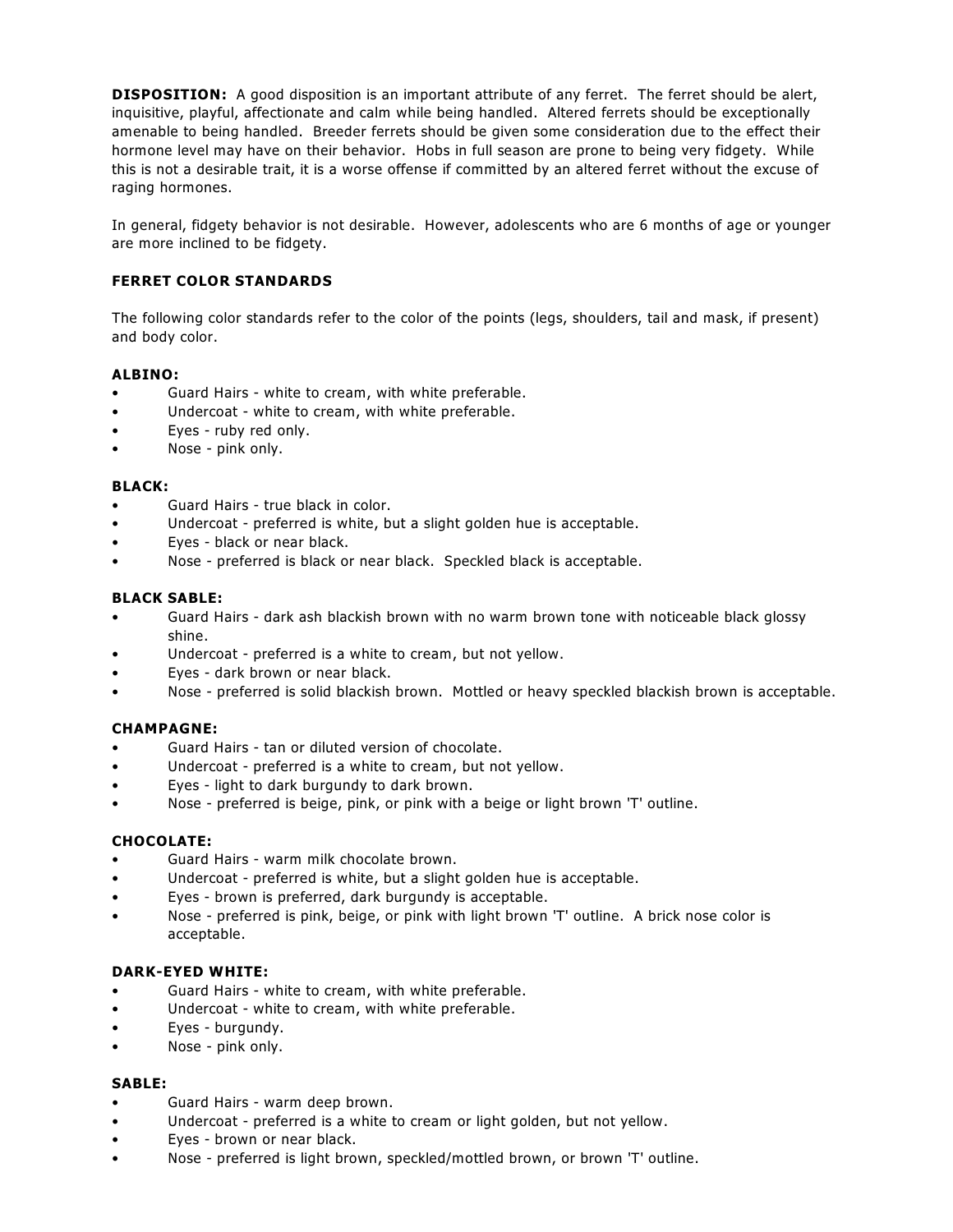**DISPOSITION:** A good disposition is an important attribute of any ferret. The ferret should be alert, inquisitive, playful, affectionate and calm while being handled. Altered ferrets should be exceptionally amenable to being handled. Breeder ferrets should be given some consideration due to the effect their hormone level may have on their behavior. Hobs in full season are prone to being very fidgety. While this is not a desirable trait, it is a worse offense if committed by an altered ferret without the excuse of raging hormones.

In general, fidgety behavior is not desirable. However, adolescents who are 6 months of age or younger are more inclined to be fidgety.

# **FERRET COLOR STANDARDS**

The following color standards refer to the color of the points (legs, shoulders, tail and mask, if present) and body color.

# **ALBINO:**

- Guard Hairs white to cream, with white preferable.
- Undercoat white to cream, with white preferable.
- Eyes ruby red only.
- Nose pink only.

## **BLACK:**

- Guard Hairs true black in color.
- Undercoat preferred is white, but a slight golden hue is acceptable.
- Eyes black or near black.
- Nose preferred is black or near black. Speckled black is acceptable.

## **BLACK SABLE:**

- Guard Hairs dark ash blackish brown with no warm brown tone with noticeable black glossy shine.
- Undercoat preferred is a white to cream, but not yellow.
- Eyes dark brown or near black.
- Nose preferred is solid blackish brown. Mottled or heavy speckled blackish brown is acceptable.

## **CHAMPAGNE:**

- Guard Hairs tan or diluted version of chocolate.
- Undercoat preferred is a white to cream, but not yellow.
- Eyes light to dark burgundy to dark brown.
- Nose preferred is beige, pink, or pink with a beige or light brown 'T' outline.

## **CHOCOLATE:**

- Guard Hairs warm milk chocolate brown.
- Undercoat preferred is white, but a slight golden hue is acceptable.
- Eyes brown is preferred, dark burgundy is acceptable.
- Nose preferred is pink, beige, or pink with light brown 'T' outline. A brick nose color is acceptable.

## **DARK-EYED WHITE:**

- Guard Hairs white to cream, with white preferable.
- Undercoat white to cream, with white preferable.
- Eyes burgundy.
- Nose pink only.

## **SABLE:**

- Guard Hairs warm deep brown.
- Undercoat preferred is a white to cream or light golden, but not yellow.
- Eyes brown or near black.
- Nose preferred is light brown, speckled/mottled brown, or brown 'T' outline.